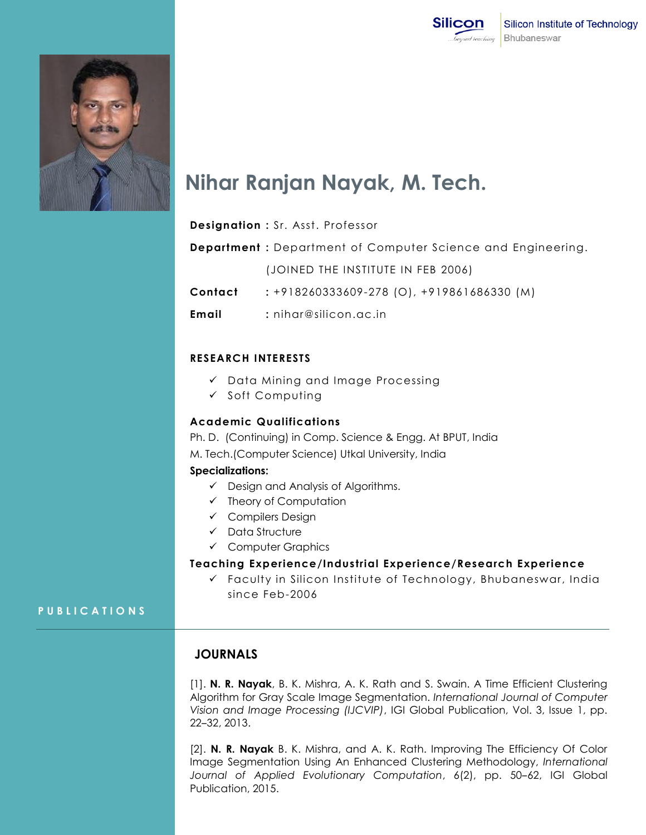



# **Nihar Ranjan Nayak, M. Tech.**

|         | <b>Designation: Sr. Asst. Professor</b>                             |
|---------|---------------------------------------------------------------------|
|         | <b>Department</b> : Department of Computer Science and Engineering. |
|         | (JOINED THE INSTITUTE IN FEB 2006)                                  |
| Contact | $: +918260333609 - 278$ (O), $+919861686330$ (M)                    |
| Email   | $:$ nihar@silicon.ac.in                                             |

#### **RESEARCH INTERESTS**

- $\checkmark$  Data Mining and Image Processing
- $\checkmark$  Soft Computing

#### **Academic Qualifications**

Ph. D. (Continuing) in Comp. Science & Engg. At BPUT, India M. Tech.(Computer Science) Utkal University, India

## **Specializations:**

- $\checkmark$  Design and Analysis of Algorithms.
- $\checkmark$  Theory of Computation
- Compilers Design
- $\checkmark$  Data Structure
- Computer Graphics

#### **Teaching Experience/Industrial Experience/Research Experience**

 Faculty in Silicon Institute of Technology, Bhubaneswar, India since Feb-2006

# **P U B L I C A T I O N S**

# **JOURNALS**

[1]. **N. R. Nayak**, B. K. Mishra, A. K. Rath and S. Swain. A Time Efficient Clustering Algorithm for Gray Scale Image Segmentation. *International Journal of Computer Vision and Image Processing (IJCVIP)*, IGI Global Publication, Vol. 3, Issue 1, pp. 22‒32, 2013.

[2]. **N. R. Nayak** B. K. Mishra, and A. K. Rath. Improving The Efficiency Of Color Image Segmentation Using An Enhanced Clustering Methodology, *International*  Journal of Applied Evolutionary Computation, 6(2), pp. 50-62, IGI Global Publication, 2015.